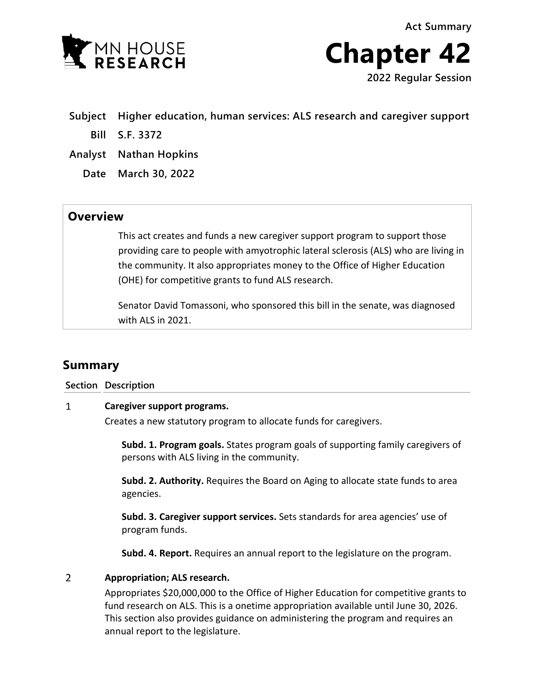



- **Subject Higher education, human services: ALS research and caregiver support**
	- **Bill S.F. 3372**
- **Analyst Nathan Hopkins**
	- **Date March 30, 2022**

## **Overview**

This act creates and funds a new caregiver support program to support those providing care to people with amyotrophic lateral sclerosis (ALS) who are living in the community. It also appropriates money to the Office of Higher Education (OHE) for competitive grants to fund ALS research.

Senator David Tomassoni, who sponsored this bill in the senate, was diagnosed with ALS in 2021.

# **Summary**

### **Section Description**

#### $\mathbf{1}$ **Caregiver support programs.**

Creates a new statutory program to allocate funds for caregivers.

**Subd. 1. Program goals.** States program goals of supporting family caregivers of persons with ALS living in the community.

**Subd. 2. Authority.** Requires the Board on Aging to allocate state funds to area agencies.

**Subd. 3. Caregiver support services.** Sets standards for area agencies' use of program funds.

**Subd. 4. Report.** Requires an annual report to the legislature on the program.

#### $\overline{2}$ **Appropriation; ALS research.**

Appropriates \$20,000,000 to the Office of Higher Education for competitive grants to fund research on ALS. This is a onetime appropriation available until June 30, 2026. This section also provides guidance on administering the program and requires an annual report to the legislature.